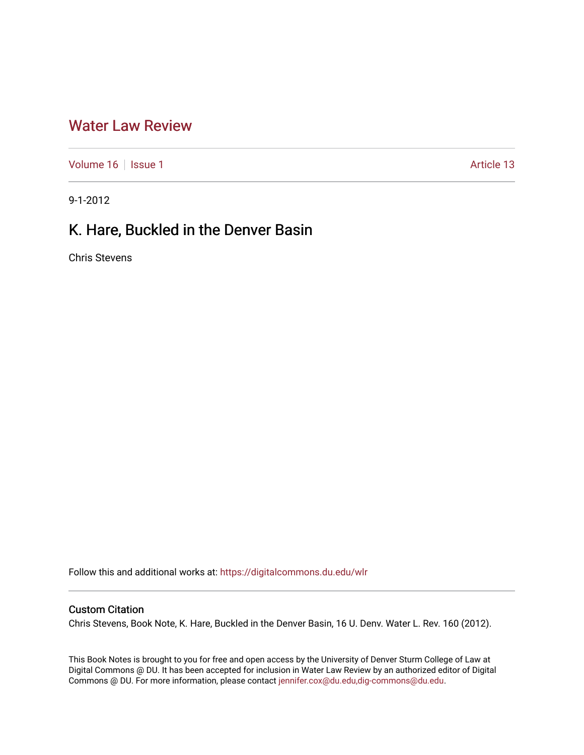## [Water Law Review](https://digitalcommons.du.edu/wlr)

[Volume 16](https://digitalcommons.du.edu/wlr/vol16) | [Issue 1](https://digitalcommons.du.edu/wlr/vol16/iss1) Article 13

9-1-2012

# K. Hare, Buckled in the Denver Basin

Chris Stevens

Follow this and additional works at: [https://digitalcommons.du.edu/wlr](https://digitalcommons.du.edu/wlr?utm_source=digitalcommons.du.edu%2Fwlr%2Fvol16%2Fiss1%2F13&utm_medium=PDF&utm_campaign=PDFCoverPages) 

### Custom Citation

Chris Stevens, Book Note, K. Hare, Buckled in the Denver Basin, 16 U. Denv. Water L. Rev. 160 (2012).

This Book Notes is brought to you for free and open access by the University of Denver Sturm College of Law at Digital Commons @ DU. It has been accepted for inclusion in Water Law Review by an authorized editor of Digital Commons @ DU. For more information, please contact [jennifer.cox@du.edu,dig-commons@du.edu.](mailto:jennifer.cox@du.edu,dig-commons@du.edu)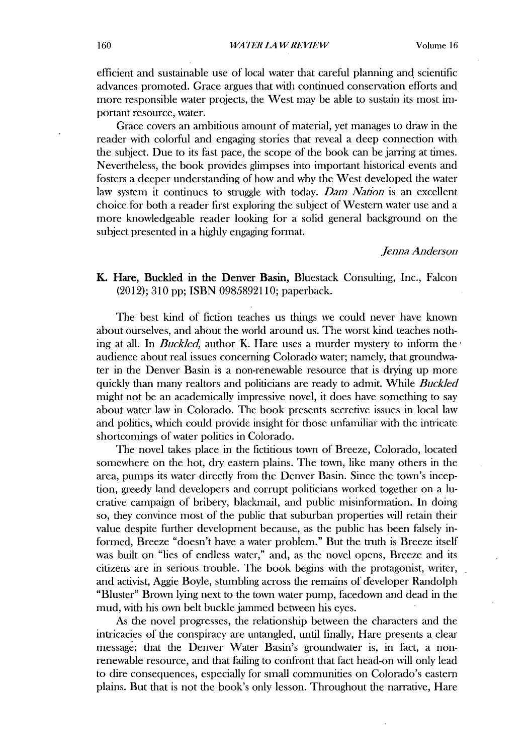efficient and sustainable use of local water that careful planning and scientific advances promoted. Grace argues that with continued conservation efforts and more responsible water projects, the West may be able to sustain its most **im**portant resource, water.

Grace covers an ambitious amount of material, yet manages to draw in the reader with colorful and engaging stories that reveal a deep connection with the subject. Due to its fast pace, the scope of the book can be jarring at times. Nevertheless, the book provides glimpses into important historical events and fosters a deeper understanding of how and why the West developed the water law system it continues to struggle with today. *Dam Nation* is an excellent choice for both a reader first exploring the subject of Western water use and a more knowledgeable reader looking for a solid general background on the subject presented in a **highly** engaging fornat.

#### *Jenna Anderson*

### K. Hare, Buckled in the Denver Basin, Bluestack Consulting, Inc., Falcon (2012); **310 pp; ISBN 0985892110;** paperback.

The best kind of fiction teaches us things we could never have known about ourselves, and about the world around us. The worst kind teaches nothing at all. In *Buckled,* author K. Hare uses a murder mystery to inform the audience about real issues concerning Colorado water; namely, that groundwater in the Denver Basin is a non-renewable resource that is drying up more quickly than many realtors and politicians are ready to admit. While *Buckled* might not be an academically impressive novel, it does have something to say about water law in Colorado. The book presents secretive issues in local law and politics, which could provide insight for those unfamiliar with the intricate shortcomings of water politics in Colorado.

The novel takes place in the fictitious town of Breeze, Colorado, located somewhere on the hot, dry eastern plains. The town, like many others in the area, pumps its water directly from the Denver Basin. Since the town's inception, greedy land developers and corrupt politicians worked together on a lucrative campaign of bribery, blackmail, and public misinformation. In doing so, they convince most of the public that suburban properties **will** retain their value despite further development because, as the public has been falsely informed, Breeze "doesn't have a water problem." But the truth is Breeze itself was built on "lies of endless water," and, as the novel opens, Breeze and its citizens are in serious trouble. The book begins with the protagonist, writer, and activist, Aggie Boyle, stumbling across the remains of developer Randolph "Bluster" Brown lying next to the town water pump, facedown and dead in the mud, with his own belt buckle jammed between his eyes.

As the novel progresses, the relationship between the characters and the intricacies of the conspiracy are untangled, until finally, Hare presents a clear message: that the Denver Water Basin's groundwater is, in fact, a nonrenewable resource, and that failing to confront that fact head-on **will** only lead to dire consequences, especially for small communities on Colorado's eastern plains. But that is not the book's only lesson. Throughout the narrative, Hare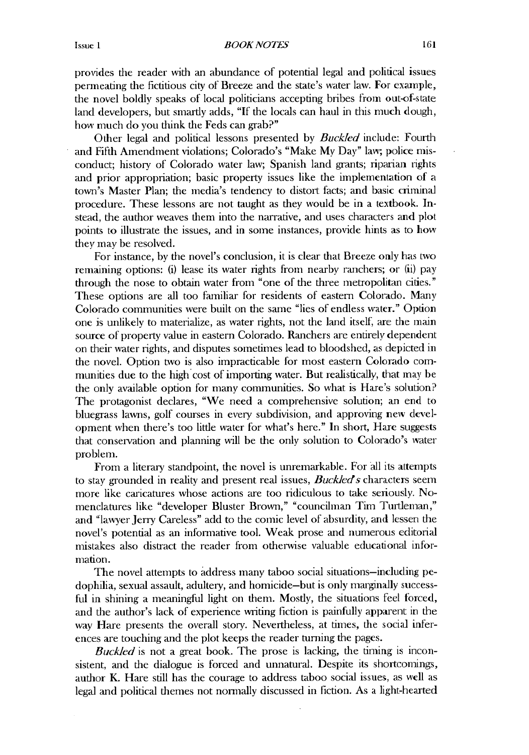provides the reader with an abundance of potential legal and political issues penneating the fictitious city of Breeze and the state's water law. For example, the novel boldly speaks of local politicians accepting bribes from out-of-state land developers, but smartly adds, **"If** the locals can haul in this much dough, how much do you think the Feds can grab?"

Other legal and political lessons presented **by** Buckled include: Fourth and Fifth Amendment violations; Colorado's "Make My Day" law; police misconduct; history of Colorado water law; Spanish land grants; riparian rights and prior appropriation; basic property issues like the implementation **of a** town's Master Plan; the media's tendency to distort facts; and basic crininal procedure. These lessons are not taught as they would be in a textbook. Instead, the author weaves them into the narrative, and uses characters and plot points to illustrate the issues, and in some instances, provide hints as to how they may be resolved.

For instance, **by** the novel's conclusion, it is clear that Breeze only has two remaining options: **(i)** lease its water rights from nearby ranchers; or **(ii)** pay through the nose to obtain water from "one of the three metropolitan cities." These options are all too familiar for residents of eastern Colorado. Many Colorado communities were built on the same "lies of endless water." Option one is unlikely to materialize, as water rights, not the land itself, are the main source of property value in eastern Colorado. Ranchers are entirely dependent on their water rights, and disputes sometimes lead to bloodshed, as depicted **in** the novel. Option two is also impracticable for most eastern Colorado communities due to the **high** cost of importing water. But realistically, that may be the only available option for many communities. So what is Hare's solution? The protagonist declares, "We need a comprehensive solution; an end to bluegrass lawns, golf courses in every subdivision, and approving new development when there's too little water for what's here." In short, Hare suggests that conservation and planning **will** be the only solution to Colorado's water problem.

From a literary standpoint, the novel is unremarkable. For all its attempts to stay grounded in reality and present real issues, *Buckled's* characters seem more like caricatures whose actions are too ridiculous to take seriously. Nomenclatures like "developer Bluster Brown," "councilman Tim Turtleman," and "lawyer Jerry Careless" add to the comic level of absurdity, and lessen the novel's potential as an infornative tool. Weak prose and numerous editorial mistakes also distract the reader from otherwise valuable educational information.

The novel attempts to address many taboo social situations-including **pe**dophilia, sexual assault, adultery, and homicide-but is only marginally successful in shining a meaningful light on them. Mostly, the situations feel forced, and the author's lack of experience writing fiction is painfully apparent in the way Hare presents the overall story. Nevertheless, at times, the social inferences are touching and the plot keeps the reader turning the pages.

**Buckled** is not a great book. The prose is lacking, the timing is inconsistent, and the dialogue is forced and unnatural. Despite its shortcomings, author K. Hare still has the courage to address taboo social issues, as wel as legal and political themes not nonnally discussed in fiction. As a light-hearted